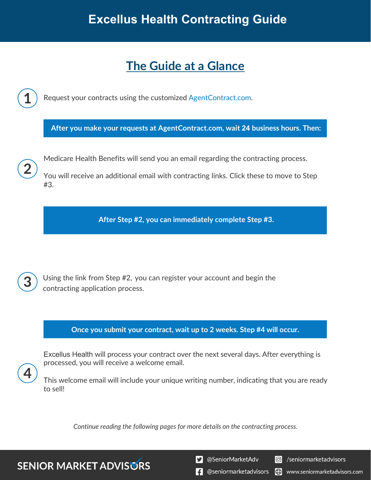# **The Guide at a Glance**

Request your contracts using the customized [AgentContract.com.](http://agentcontracting.com/) **After you make your requests at AgentContract.com, wait 24 business hours. Then:**  Medicare Health Benefits will send you an email regarding the contracting process. You will receive an additional email with contracting links. Click these to move to Step #3. **After Step #2, you can immediately complete Step #3.** 

Using the link from Step #2, you can register your account and begin the contracting application process.

**Once you submit your contract, wait up to 2 weeks. Step #4 will occur.**

Excellus Health will process your contract over the next several days. After everything is processed, you will receive a welcome email.

This welcome email will include your unique writing number, indicating that you are ready to sell!

*Continue reading the following pages for more details on the contracting process.*

**SENIOR MARKET ADVISURS** 

S @SeniorMarketAdv

Seniormarketadvisors

**1** @seniormarketadvisors (.) www.seniormarketadvisors.com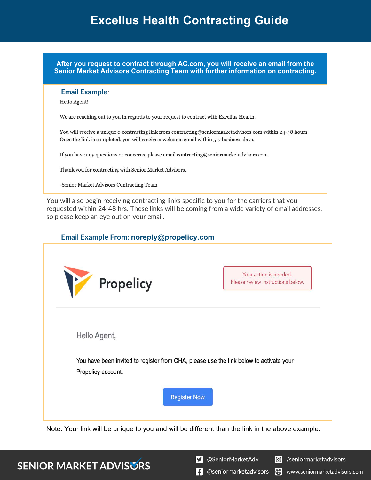**After you request to contract through AC.com, you will receive an email from the Senior Market Advisors Contracting Team with further information on contracting.**

#### **Email Example**:

Hello Agent!

We are reaching out to you in regards to your request to contract with Excellus Health.

You will receive a unique e-contracting link from contracting@seniormarketadvisors.com within 24-48 hours. Once the link is completed, you will receive a welcome email within 5-7 business days.

If you have any questions or concerns, please email contracting@seniormarketadvisors.com.

Thank you for contracting with Senior Market Advisors.

-Senior Market Advisors Contracting Team

You will also begin receiving contracting links specific to you for the carriers that you requested within 24-48 hrs. These links will be coming from a wide variety of email addresses, so please keep an eye out on your email.

#### **Email Example From: noreply@propelicy.com**

| M<br>Propelicy                                                                         | Your action is needed.<br>Please review instructions below. |
|----------------------------------------------------------------------------------------|-------------------------------------------------------------|
| Hello Agent,                                                                           |                                                             |
| You have been invited to register from CHA, please use the link below to activate your |                                                             |
| Propelicy account.                                                                     |                                                             |
| <b>Register Now</b>                                                                    |                                                             |

Note: Your link will be unique to you and will be different than the link in the above example.

## **SENIOR MARKET ADVISURS**

S @SeniorMarketAdv

C /seniormarketadvisors

 $\left| \cdot \right|$  @seniormarketadvisors (.) www.seniormarketadvisors.com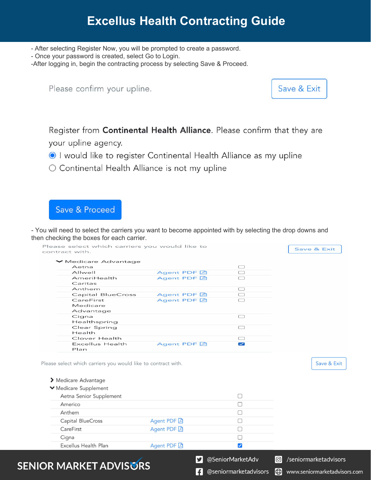- After selecting Register Now, you will be prompted to create a password.

- Once your password is created, select Go to Login.

-After logging in, begin the contracting process by selecting Save & Proceed.

Please confirm your upline.



.com

Register from Continental Health Alliance. Please confirm that they are your upline agency.

I would like to register Continental Health Alliance as my upline

O Continental Health Alliance is not my upline

### Save & Proceed

**SEN** 

- You will need to select the carriers you want to become appointed with by selecting the drop downs and then checking the boxes for each carrier.

| contract with.                                                        |             |                          |                              |
|-----------------------------------------------------------------------|-------------|--------------------------|------------------------------|
| ▼ Medicare Advantage<br>Aetna                                         |             | $\Box$                   |                              |
| Allwell                                                               | Agent PDF A | $\Box$                   |                              |
| AmeriHealth                                                           | Agent PDF A | □                        |                              |
| Caritas                                                               |             |                          |                              |
| Anthem                                                                |             | $\Box$                   |                              |
| <b>Capital BlueCross</b>                                              | Agent PDF A | $\Box$                   |                              |
| CareFirst                                                             | Agent PDF A | $\Box$                   |                              |
| Medicare                                                              |             |                          |                              |
| Advantage                                                             |             | $\Box$                   |                              |
| Cigna<br>Healthspring                                                 |             |                          |                              |
| Clear Spring<br>Health                                                |             | $\Box$                   |                              |
| Clover Health                                                         |             | □                        |                              |
| <b>Excellus Health</b>                                                | Agent PDF A | $\overline{\phantom{0}}$ |                              |
| Plan<br>Please select which carriers you would like to contract with. |             |                          | Save & Exit                  |
| > Medicare Advantage                                                  |             |                          |                              |
| Medicare Supplement                                                   |             |                          |                              |
| Aetna Senior Supplement                                               |             | U                        |                              |
| Americo                                                               |             | П                        |                              |
| Anthem                                                                |             | ⊓                        |                              |
| Capital BlueCross                                                     | Agent PDF A | U                        |                              |
| CareFirst                                                             | Agent PDF A | ⊓                        |                              |
| Cigna                                                                 |             | П                        |                              |
| Excellus Health Plan                                                  | Agent PDF A | $\blacktriangledown$     |                              |
|                                                                       |             |                          |                              |
| OR MARKET ADVISORS                                                    | V.          | @SeniorMarketAdv         | /seniormarketadvisors<br>l©l |